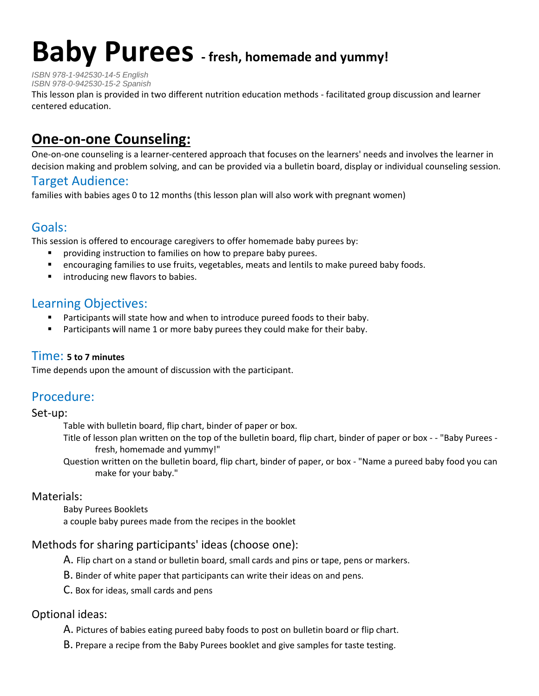# **Baby Purees - fresh, homemade and yummy!**

*ISBN 978-1-942530-14-5 English*

*ISBN 978-0-942530-15-2 Spanish*

This lesson plan is provided in two different nutrition education methods - facilitated group discussion and learner centered education.

## **One-on-one Counseling:**

One-on-one counseling is a learner-centered approach that focuses on the learners' needs and involves the learner in decision making and problem solving, and can be provided via a bulletin board, display or individual counseling session.

## Target Audience:

families with babies ages 0 to 12 months (this lesson plan will also work with pregnant women)

## Goals:

This session is offered to encourage caregivers to offer homemade baby purees by:

- providing instruction to families on how to prepare baby purees.
- encouraging families to use fruits, vegetables, meats and lentils to make pureed baby foods.
- **If** introducing new flavors to babies.

## Learning Objectives:

- Participants will state how and when to introduce pureed foods to their baby.
- **Participants will name 1 or more baby purees they could make for their baby.**

#### Time: **5 to 7 minutes**

Time depends upon the amount of discussion with the participant.

## Procedure:

#### Set-up:

Table with bulletin board, flip chart, binder of paper or box.

Title of lesson plan written on the top of the bulletin board, flip chart, binder of paper or box - - "Baby Purees fresh, homemade and yummy!"

Question written on the bulletin board, flip chart, binder of paper, or box - "Name a pureed baby food you can make for your baby."

#### Materials:

Baby Purees Booklets a couple baby purees made from the recipes in the booklet

#### Methods for sharing participants' ideas (choose one):

A. Flip chart on a stand or bulletin board, small cards and pins or tape, pens or markers.

- B. Binder of white paper that participants can write their ideas on and pens.
- C. Box for ideas, small cards and pens

#### Optional ideas:

A. Pictures of babies eating pureed baby foods to post on bulletin board or flip chart.

B. Prepare a recipe from the Baby Purees booklet and give samples for taste testing.